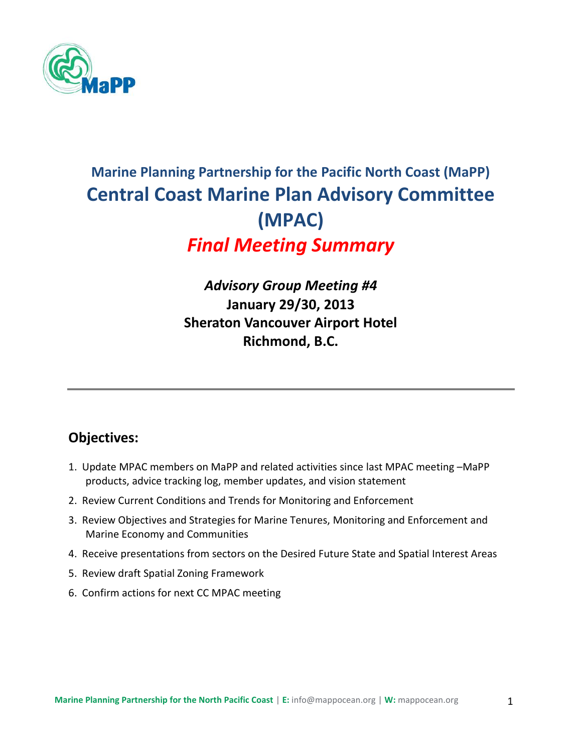

# **Marine Planning Partnership for the Pacific North Coast (MaPP) Central Coast Marine Plan Advisory Committee (MPAC)**  *Final Meeting Summary*

# *Advisory Group Meeting #4* **January 29/30, 2013 Sheraton Vancouver Airport Hotel Richmond, B.C.**

# **Objectives:**

- 1. Update MPAC members on MaPP and related activities since last MPAC meeting –MaPP products, advice tracking log, member updates, and vision statement
- 2. Review Current Conditions and Trends for Monitoring and Enforcement
- 3. Review Objectives and Strategies for Marine Tenures, Monitoring and Enforcement and Marine Economy and Communities
- 4. Receive presentations from sectors on the Desired Future State and Spatial Interest Areas
- 5. Review draft Spatial Zoning Framework
- 6. Confirm actions for next CC MPAC meeting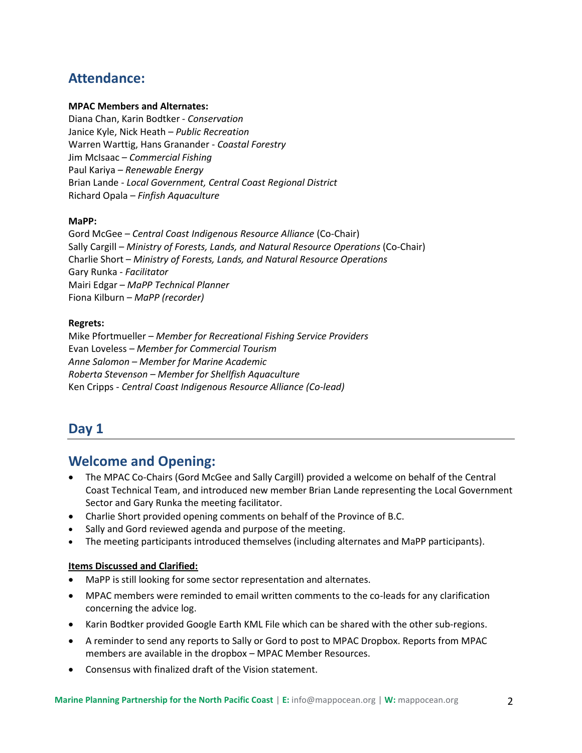# **Attendance:**

#### **MPAC Members and Alternates:**

Diana Chan, Karin Bodtker - *Conservation* Janice Kyle, Nick Heath – *Public Recreation* Warren Warttig, Hans Granander - *Coastal Forestry* Jim McIsaac – *Commercial Fishing* Paul Kariya – *Renewable Energy*  Brian Lande - *Local Government, Central Coast Regional District* Richard Opala – *Finfish Aquaculture*

#### **MaPP:**

Gord McGee – *Central Coast Indigenous Resource Alliance* (Co-Chair) Sally Cargill – *Ministry of Forests, Lands, and Natural Resource Operations* (Co-Chair) Charlie Short – *Ministry of Forests, Lands, and Natural Resource Operations* Gary Runka *- Facilitator* Mairi Edgar – *MaPP Technical Planner* Fiona Kilburn – *MaPP (recorder)*

#### **Regrets:**

Mike Pfortmueller – *Member for Recreational Fishing Service Providers* Evan Loveless *– Member for Commercial Tourism Anne Salomon – Member for Marine Academic Roberta Stevenson – Member for Shellfish Aquaculture* Ken Cripps - *Central Coast Indigenous Resource Alliance (Co-lead)*

### **Day 1**

### **Welcome and Opening:**

- The MPAC Co-Chairs (Gord McGee and Sally Cargill) provided a welcome on behalf of the Central Coast Technical Team, and introduced new member Brian Lande representing the Local Government Sector and Gary Runka the meeting facilitator.
- Charlie Short provided opening comments on behalf of the Province of B.C.
- Sally and Gord reviewed agenda and purpose of the meeting.
- The meeting participants introduced themselves (including alternates and MaPP participants).

#### **Items Discussed and Clarified:**

- MaPP is still looking for some sector representation and alternates.
- MPAC members were reminded to email written comments to the co-leads for any clarification concerning the advice log.
- Karin Bodtker provided Google Earth KML File which can be shared with the other sub-regions.
- A reminder to send any reports to Sally or Gord to post to MPAC Dropbox. Reports from MPAC members are available in the dropbox – MPAC Member Resources.
- Consensus with finalized draft of the Vision statement.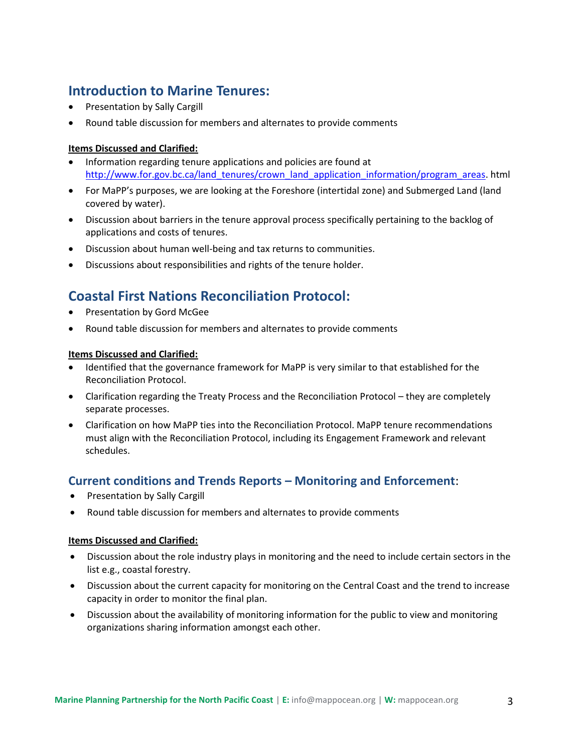# **Introduction to Marine Tenures:**

- Presentation by Sally Cargill
- Round table discussion for members and alternates to provide comments

### **Items Discussed and Clarified:**

- Information regarding tenure applications and policies are found at [http://www.for.gov.bc.ca/land\\_tenures/crown\\_land\\_application\\_information/program\\_areas.](http://www.for.gov.bc.ca/land_tenures/crown_land_application_information/program_areas) html
- For MaPP's purposes, we are looking at the Foreshore (intertidal zone) and Submerged Land (land covered by water).
- Discussion about barriers in the tenure approval process specifically pertaining to the backlog of applications and costs of tenures.
- Discussion about human well-being and tax returns to communities.
- Discussions about responsibilities and rights of the tenure holder.

# **Coastal First Nations Reconciliation Protocol:**

- Presentation by Gord McGee
- Round table discussion for members and alternates to provide comments

#### **Items Discussed and Clarified:**

- Identified that the governance framework for MaPP is very similar to that established for the Reconciliation Protocol.
- Clarification regarding the Treaty Process and the Reconciliation Protocol they are completely separate processes.
- Clarification on how MaPP ties into the Reconciliation Protocol. MaPP tenure recommendations must align with the Reconciliation Protocol, including its Engagement Framework and relevant schedules.

### **Current conditions and Trends Reports – Monitoring and Enforcement**:

- Presentation by Sally Cargill
- Round table discussion for members and alternates to provide comments

### **Items Discussed and Clarified:**

- Discussion about the role industry plays in monitoring and the need to include certain sectors in the list e.g., coastal forestry.
- Discussion about the current capacity for monitoring on the Central Coast and the trend to increase capacity in order to monitor the final plan.
- Discussion about the availability of monitoring information for the public to view and monitoring organizations sharing information amongst each other.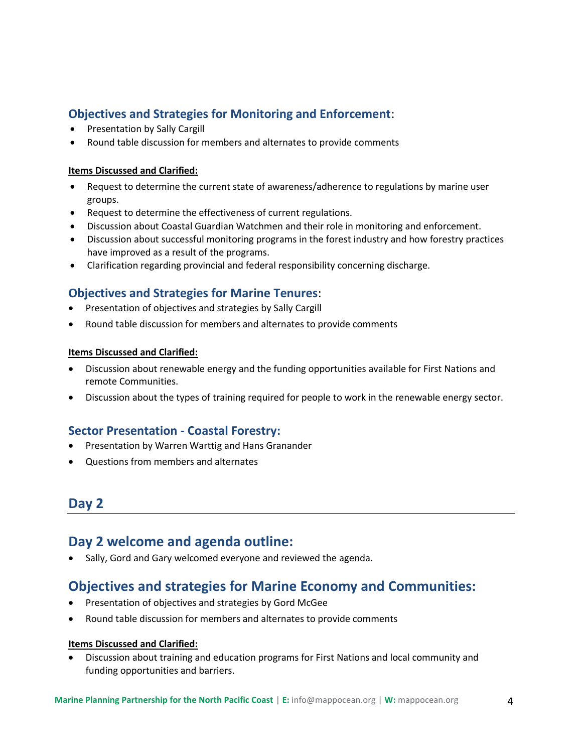### **Objectives and Strategies for Monitoring and Enforcement**:

- Presentation by Sally Cargill
- Round table discussion for members and alternates to provide comments

### **Items Discussed and Clarified:**

- Request to determine the current state of awareness/adherence to regulations by marine user groups.
- Request to determine the effectiveness of current regulations.
- Discussion about Coastal Guardian Watchmen and their role in monitoring and enforcement.
- Discussion about successful monitoring programs in the forest industry and how forestry practices have improved as a result of the programs.
- Clarification regarding provincial and federal responsibility concerning discharge.

### **Objectives and Strategies for Marine Tenures**:

- Presentation of objectives and strategies by Sally Cargill
- Round table discussion for members and alternates to provide comments

### **Items Discussed and Clarified:**

- Discussion about renewable energy and the funding opportunities available for First Nations and remote Communities.
- Discussion about the types of training required for people to work in the renewable energy sector.

### **Sector Presentation - Coastal Forestry:**

- Presentation by Warren Warttig and Hans Granander
- Questions from members and alternates

### **Day 2**

# **Day 2 welcome and agenda outline:**

Sally, Gord and Gary welcomed everyone and reviewed the agenda.

# **Objectives and strategies for Marine Economy and Communities:**

- Presentation of objectives and strategies by Gord McGee
- Round table discussion for members and alternates to provide comments

### **Items Discussed and Clarified:**

 Discussion about training and education programs for First Nations and local community and funding opportunities and barriers.